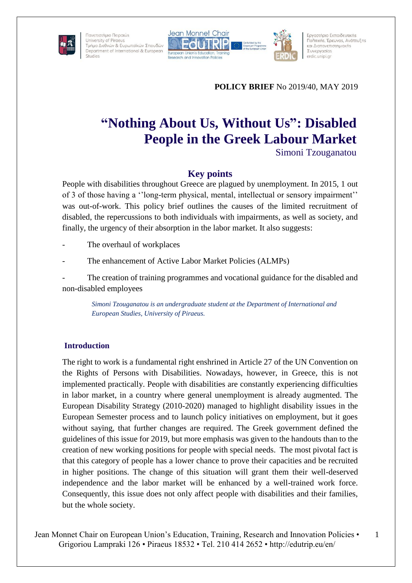





Εργαστήριο Εκπαιδευτικής Πολιτικής, Έρευνας, Ανάπτυξης και Διαπανεπιστημιακής Συνεργασίας erdic.unipi.gr

**POLICY BRIEF** No 2019/40, MAY 2019

# **"Nothing About Us, Without Us": Disabled People in the Greek Labour Market**

Simoni Tzouganatou

## **Key points**

People with disabilities throughout Greece are plagued by unemployment. In 2015, 1 out of 3 of those having a ''long-term physical, mental, intellectual or sensory impairment'' was out-of-work. This policy brief outlines the causes of the limited recruitment of disabled, the repercussions to both individuals with impairments, as well as society, and finally, the urgency of their absorption in the labor market. It also suggests:

The overhaul of workplaces

The enhancement of Active Labor Market Policies (ALMPs)

The creation of training programmes and vocational guidance for the disabled and non-disabled employees

*Simoni Tzouganatou is an undergraduate student at the Department of International and European Studies, University of Piraeus.*

## **Introduction**

The right to work is a fundamental right enshrined in Article 27 of the UN Convention on the Rights of Persons with Disabilities. Nowadays, however, in Greece, this is not implemented practically. People with disabilities are constantly experiencing difficulties in labor market, in a country where general unemployment is already augmented. The European Disability Strategy (2010-2020) managed to highlight disability issues in the European Semester process and to launch policy initiatives on employment, but it goes without saying, that further changes are required. The Greek government defined the guidelines of this issue for 2019, but more emphasis was given to the handouts than to the creation of new working positions for people with special needs. The most pivotal fact is that this category of people has a lower chance to prove their capacities and be recruited in higher positions. The change of this situation will grant them their well-deserved independence and the labor market will be enhanced by a well-trained work force. Consequently, this issue does not only affect people with disabilities and their families, but the whole society.

Jean Monnet Chair on European Union's Education, Training, Research and Innovation Policies • Grigoriou Lampraki 126 • Piraeus 18532 • Tel. 210 414 2652 • http://edutrip.eu/en/

1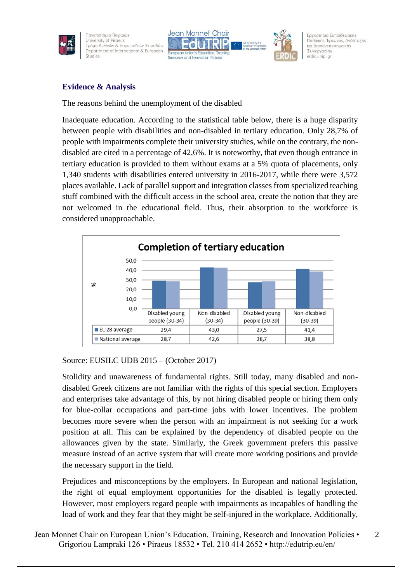





Εργαστήριο Εκπαιδευτικής Πολιτικής, Έρευνας, Ανάπτυξης και Διαπανεπιστημιακής Συνεργασίας erdic.unipi.gr

2

## **Evidence & Analysis**

#### The reasons behind the unemployment of the disabled

Inadequate education. According to the statistical table below, there is a huge disparity between people with disabilities and non-disabled in tertiary education. Only 28,7% of people with impairments complete their university studies, while on the contrary, the nondisabled are cited in a percentage of 42,6%. It is noteworthy, that even though entrance in tertiary education is provided to them without exams at a 5% quota of placements, only 1,340 students with disabilities entered university in 2016-2017, while there were 3,572 places available. Lack of parallel support and integration classes from specialized teaching stuff combined with the difficult access in the school area, create the notion that they are not welcomed in the educational field. Thus, their absorption to the workforce is considered unapproachable.



## Source: EUSILC UDB 2015 – (October 2017)

Stolidity and unawareness of fundamental rights. Still today, many disabled and nondisabled Greek citizens are not familiar with the rights of this special section. Employers and enterprises take advantage of this, by not hiring disabled people or hiring them only for blue-collar occupations and part-time jobs with lower incentives. The problem becomes more severe when the person with an impairment is not seeking for a work position at all. This can be explained by the dependency of disabled people on the allowances given by the state. Similarly, the Greek government prefers this passive measure instead of an active system that will create more working positions and provide the necessary support in the field.

Prejudices and misconceptions by the employers. In European and national legislation, the right of equal employment opportunities for the disabled is legally protected. However, most employers regard people with impairments as incapables of handling the load of work and they fear that they might be self-injured in the workplace. Additionally,

```
Jean Monnet Chair on European Union's Education, Training, Research and Innovation Policies •
Grigoriou Lampraki 126 • Piraeus 18532 • Tel. 210 414 2652 • http://edutrip.eu/en/
```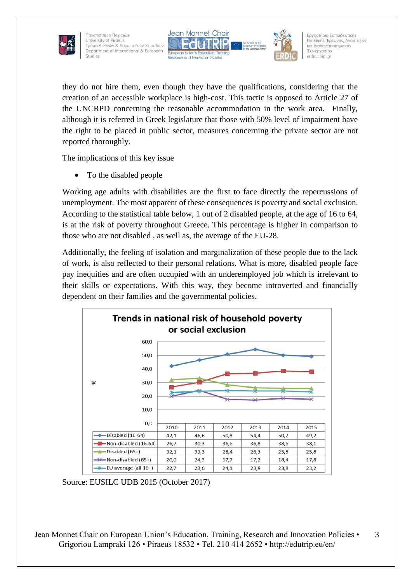





Εργαστήριο Εκπαιδευτικής Πολιτικής, Έρευνας, Ανάπτυξης και Διαπανεπιστημιακής Συνεργασίας erdic.unipi.gr

they do not hire them, even though they have the qualifications, considering that the creation of an accessible workplace is high-cost. This tactic is opposed to Article 27 of the UNCRPD concerning the reasonable accommodation in the work area. Finally, although it is referred in Greek legislature that those with 50% level of impairment have the right to be placed in public sector, measures concerning the private sector are not reported thoroughly.

The implications of this key issue

To the disabled people

Working age adults with disabilities are the first to face directly the repercussions of unemployment. The most apparent of these consequences is poverty and social exclusion. According to the statistical table below, 1 out of 2 disabled people, at the age of 16 to 64, is at the risk of poverty throughout Greece. This percentage is higher in comparison to those who are not disabled , as well as, the average of the EU-28.

Additionally, the feeling of isolation and marginalization of these people due to the lack of work, is also reflected to their personal relations. What is more, disabled people face pay inequities and are often occupied with an underemployed job which is irrelevant to their skills or expectations. With this way, they become introverted and financially dependent on their families and the governmental policies.



Source: EUSILC UDB 2015 (October 2017)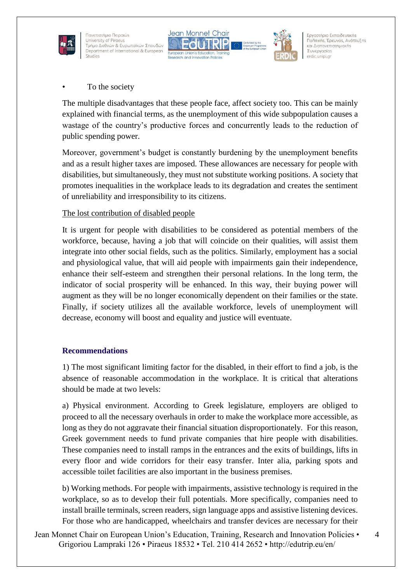





Εργαστήριο Εκπαιδευτικής Πολιτικής, Έρευνας, Ανάπτυξης και Διαπανεπιστημιακής Συνεργασίας erdic.unipi.gr

To the society

The multiple disadvantages that these people face, affect society too. This can be mainly explained with financial terms, as the unemployment of this wide subpopulation causes a wastage of the country's productive forces and concurrently leads to the reduction of public spending power.

Moreover, government's budget is constantly burdening by the unemployment benefits and as a result higher taxes are imposed. These allowances are necessary for people with disabilities, but simultaneously, they must not substitute working positions. A society that promotes inequalities in the workplace leads to its degradation and creates the sentiment of unreliability and irresponsibility to its citizens.

## The lost contribution of disabled people

It is urgent for people with disabilities to be considered as potential members of the workforce, because, having a job that will coincide on their qualities, will assist them integrate into other social fields, such as the politics. Similarly, employment has a social and physiological value, that will aid people with impairments gain their independence, enhance their self-esteem and strengthen their personal relations. In the long term, the indicator of social prosperity will be enhanced. In this way, their buying power will augment as they will be no longer economically dependent on their families or the state. Finally, if society utilizes all the available workforce, levels of unemployment will decrease, economy will boost and equality and justice will eventuate.

## **Recommendations**

1) The most significant limiting factor for the disabled, in their effort to find a job, is the absence of reasonable accommodation in the workplace. It is critical that alterations should be made at two levels:

a) Physical environment. According to Greek legislature, employers are obliged to proceed to all the necessary overhauls in order to make the workplace more accessible, as long as they do not aggravate their financial situation disproportionately. For this reason, Greek government needs to fund private companies that hire people with disabilities. These companies need to install ramps in the entrances and the exits of buildings, lifts in every floor and wide corridors for their easy transfer. Inter alia, parking spots and accessible toilet facilities are also important in the business premises.

b) Working methods. For people with impairments, assistive technology is required in the workplace, so as to develop their full potentials. More specifically, companies need to install braille terminals, screen readers, sign language apps and assistive listening devices. For those who are handicapped, wheelchairs and transfer devices are necessary for their

Jean Monnet Chair on European Union's Education, Training, Research and Innovation Policies • Grigoriou Lampraki 126 • Piraeus 18532 • Tel. 210 414 2652 • http://edutrip.eu/en/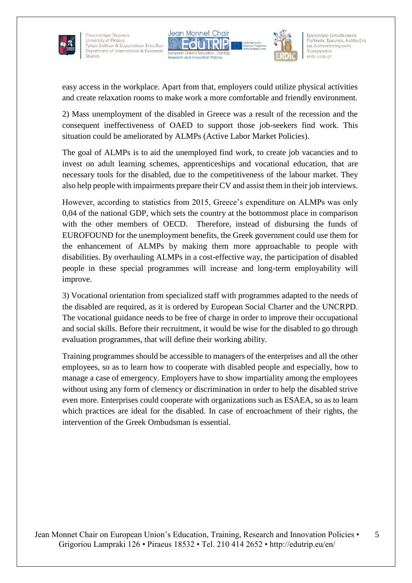





Εργαστήριο Εκπαιδευτικής Πολιτικής, Έρευνας, Ανάπτυξης και Διαπανεπιστημιακής Συνεργασίας erdic.unipi.gr

easy access in the workplace. Apart from that, employers could utilize physical activities and create relaxation rooms to make work a more comfortable and friendly environment.

2) Mass unemployment of the disabled in Greece was a result of the recession and the consequent ineffectiveness of OAED to support those job-seekers find work. This situation could be ameliorated by ALMPs (Active Labor Market Policies).

The goal of ALMPs is to aid the unemployed find work, to create job vacancies and to invest on adult learning schemes, apprenticeships and vocational education, that are necessary tools for the disabled, due to the competitiveness of the labour market. They also help people with impairments prepare their CV and assist them in their job interviews.

However, according to statistics from 2015, Greece's expenditure on ALMPs was only 0,04 of the national GDP, which sets the country at the bottommost place in comparison with the other members of OECD. Therefore, instead of disbursing the funds of EUROFOUND for the unemployment benefits, the Greek government could use them for the enhancement of ALMPs by making them more approachable to people with disabilities. By overhauling ALMPs in a cost-effective way, the participation of disabled people in these special programmes will increase and long-term employability will improve.

3) Vocational orientation from specialized staff with programmes adapted to the needs of the disabled are required, as it is ordered by European Social Charter and the UNCRPD. The vocational guidance needs to be free of charge in order to improve their occupational and social skills. Before their recruitment, it would be wise for the disabled to go through evaluation programmes, that will define their working ability.

Training programmes should be accessible to managers of the enterprises and all the other employees, so as to learn how to cooperate with disabled people and especially, how to manage a case of emergency. Employers have to show impartiality among the employees without using any form of clemency or discrimination in order to help the disabled strive even more. Enterprises could cooperate with organizations such as ESAEA, so as to learn which practices are ideal for the disabled. In case of encroachment of their rights, the intervention of the Greek Ombudsman is essential.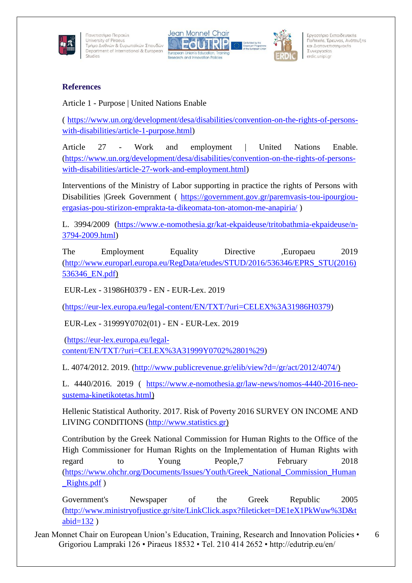





Εργαστήριο Εκπαιδευτικής Πολιτικής, Έρευνας, Ανάπτυξης και Διαπανεπιστημιακής Συνεργασίας erdic.unipi.gr

### **References**

Article 1 - Purpose | United Nations Enable

( [https://www.un.org/development/desa/disabilities/convention-on-the-rights-of-persons](https://www.un.org/development/desa/disabilities/convention-on-the-rights-of-persons-with-disabilities/article-1-purpose.html)[with-disabilities/article-1-purpose.html\)](https://www.un.org/development/desa/disabilities/convention-on-the-rights-of-persons-with-disabilities/article-1-purpose.html)

Article 27 - Work and employment | United Nations Enable. [\(https://www.un.org/development/desa/disabilities/convention-on-the-rights-of-persons](https://www.un.org/development/desa/disabilities/convention-on-the-rights-of-persons-with-disabilities/article-27-work-and-employment.html)[with-disabilities/article-27-work-and-employment.html\)](https://www.un.org/development/desa/disabilities/convention-on-the-rights-of-persons-with-disabilities/article-27-work-and-employment.html)

Interventions of the Ministry of Labor supporting in practice the rights of Persons with Disabilities |Greek Government ( [https://government.gov.gr/paremvasis-tou-ipourgiou](https://government.gov.gr/paremvasis-tou-ipourgiou-ergasias-pou-stirizon-emprakta-ta-dikeomata-ton-atomon-me-anapiria/)[ergasias-pou-stirizon-emprakta-ta-dikeomata-ton-atomon-me-anapiria/](https://government.gov.gr/paremvasis-tou-ipourgiou-ergasias-pou-stirizon-emprakta-ta-dikeomata-ton-atomon-me-anapiria/) )

L. 3994/2009 [\(https://www.e-nomothesia.gr/kat-ekpaideuse/tritobathmia-ekpaideuse/n-](https://www.e-nomothesia.gr/kat-ekpaideuse/tritobathmia-ekpaideuse/n-3794-2009.html)[3794-2009.html\)](https://www.e-nomothesia.gr/kat-ekpaideuse/tritobathmia-ekpaideuse/n-3794-2009.html)

The Employment Equality Directive ,Europaeu 2019 [\(http://www.europarl.europa.eu/RegData/etudes/STUD/2016/536346/EPRS\\_STU\(2016\)](http://www.europarl.europa.eu/RegData/etudes/STUD/2016/536346/EPRS_STU(2016)536346_EN.pdf) [536346\\_EN.pdf\)](http://www.europarl.europa.eu/RegData/etudes/STUD/2016/536346/EPRS_STU(2016)536346_EN.pdf)

EUR-Lex - 31986H0379 - EN - EUR-Lex. 2019

[\(https://eur-lex.europa.eu/legal-content/EN/TXT/?uri=CELEX%3A31986H0379\)](https://eur-lex.europa.eu/legal-content/EN/TXT/?uri=CELEX%3A31986H0379)

EUR-Lex - 31999Y0702(01) - EN - EUR-Lex. 2019

[\(https://eur-lex.europa.eu/legal](https://eur-lex.europa.eu/legal-content/EN/TXT/?uri=CELEX%3A31999Y0702%2801%29)[content/EN/TXT/?uri=CELEX%3A31999Y0702%2801%29\)](https://eur-lex.europa.eu/legal-content/EN/TXT/?uri=CELEX%3A31999Y0702%2801%29)

L. 4074/2012. 2019. [\(http://www.publicrevenue.gr/elib/view?d=/gr/act/2012/4074/\)](http://www.publicrevenue.gr/elib/view?d=/gr/act/2012/4074/)

L. 4440/2016. 2019 ( [https://www.e-nomothesia.gr/law-news/nomos-4440-2016-neo](https://www.e-nomothesia.gr/law-news/nomos-4440-2016-neo-sustema-kinetikotetas.html)[sustema-kinetikotetas.html\)](https://www.e-nomothesia.gr/law-news/nomos-4440-2016-neo-sustema-kinetikotetas.html)

Hellenic Statistical Authority. 2017. Risk of Poverty 2016 SURVEY ON INCOME AND LIVING CONDITIONS [\(http://www.statistics.gr\)](http://www.statistics.gr/)

Contribution by the Greek National Commission for Human Rights to the Office of the High Commissioner for Human Rights on the Implementation of Human Rights with regard to Young People,7 February 2018 [\(https://www.ohchr.org/Documents/Issues/Youth/Greek\\_National\\_Commission\\_Human](https://www.ohchr.org/Documents/Issues/Youth/Greek_National_Commission_Human_Rights.pdf) Rights.pdf )

Government's Newspaper of the Greek Republic 2005 [\(http://www.ministryofjustice.gr/site/LinkClick.aspx?fileticket=DE1eX1PkWuw%3D&t](http://www.ministryofjustice.gr/site/LinkClick.aspx?fileticket=DE1eX1PkWuw%3D&tabid=132) abid= $132$ )

Jean Monnet Chair on European Union's Education, Training, Research and Innovation Policies • Grigoriou Lampraki 126 • Piraeus 18532 • Tel. 210 414 2652 • http://edutrip.eu/en/ 6